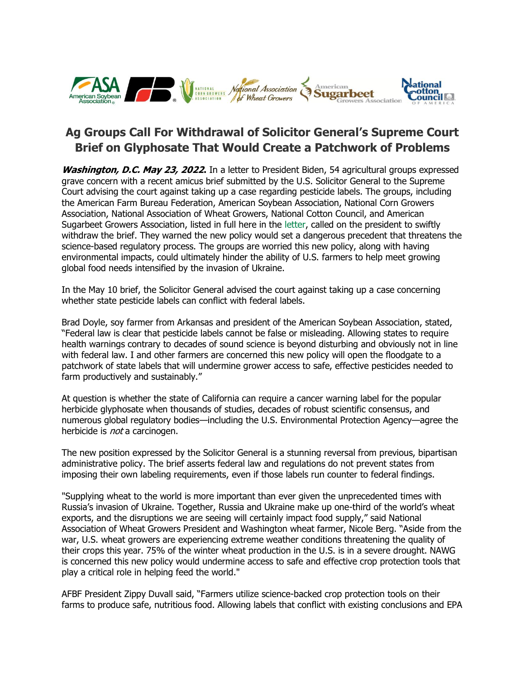

## **Ag Groups Call For Withdrawal of Solicitor General's Supreme Court Brief on Glyphosate That Would Create a Patchwork of Problems**

**Washington, D.C. May 23, 2022.** In a letter to President Biden, 54 agricultural groups expressed grave concern with a recent amicus brief submitted by the U.S. Solicitor General to the Supreme Court advising the court against taking up a case regarding pesticide labels. The groups, including the American Farm Bureau Federation, American Soybean Association, National Corn Growers Association, National Association of Wheat Growers, National Cotton Council, and American Sugarbeet Growers Association, listed in full here in the [letter,](http://asa.informz.net/z/cjUucD9taT0xMDYwMTg3NCZwPTEmdT0xMDM1OTc0Njg2JmxpPTk1MTU2MTQx/index.html) called on the president to swiftly withdraw the brief. They warned the new policy would set a dangerous precedent that threatens the science-based regulatory process. The groups are worried this new policy, along with having environmental impacts, could ultimately hinder the ability of U.S. farmers to help meet growing global food needs intensified by the invasion of Ukraine.

In the May 10 brief, the Solicitor General advised the court against taking up a case concerning whether state pesticide labels can conflict with federal labels.

Brad Doyle, soy farmer from Arkansas and president of the American Soybean Association, stated, "Federal law is clear that pesticide labels cannot be false or misleading. Allowing states to require health warnings contrary to decades of sound science is beyond disturbing and obviously not in line with federal law. I and other farmers are concerned this new policy will open the floodgate to a patchwork of state labels that will undermine grower access to safe, effective pesticides needed to farm productively and sustainably."

At question is whether the state of California can require a cancer warning label for the popular herbicide glyphosate when thousands of studies, decades of robust scientific consensus, and numerous global regulatory bodies—including the U.S. Environmental Protection Agency—agree the herbicide is *not* a carcinogen.

The new position expressed by the Solicitor General is a stunning reversal from previous, bipartisan administrative policy. The brief asserts federal law and regulations do not prevent states from imposing their own labeling requirements, even if those labels run counter to federal findings.

"Supplying wheat to the world is more important than ever given the unprecedented times with Russia's invasion of Ukraine. Together, Russia and Ukraine make up one-third of the world's wheat exports, and the disruptions we are seeing will certainly impact food supply," said National Association of Wheat Growers President and Washington wheat farmer, Nicole Berg. "Aside from the war, U.S. wheat growers are experiencing extreme weather conditions threatening the quality of their crops this year. 75% of the winter wheat production in the U.S. is in a severe drought. NAWG is concerned this new policy would undermine access to safe and effective crop protection tools that play a critical role in helping feed the world."

AFBF President Zippy Duvall said, "Farmers utilize science-backed crop protection tools on their farms to produce safe, nutritious food. Allowing labels that conflict with existing conclusions and EPA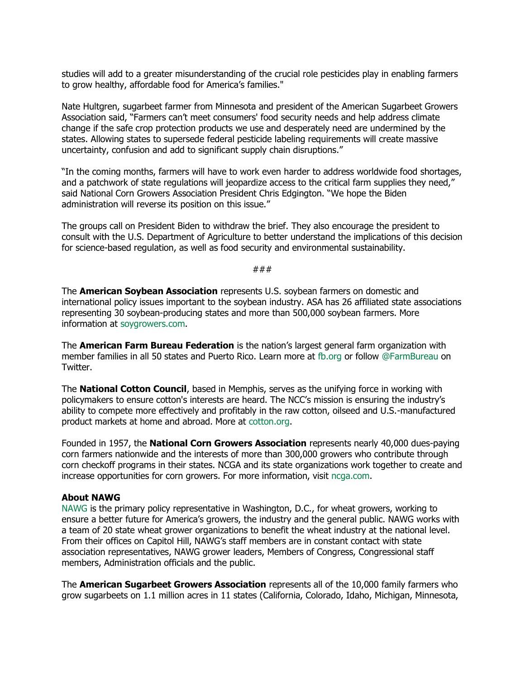studies will add to a greater misunderstanding of the crucial role pesticides play in enabling farmers to grow healthy, affordable food for America's families."

Nate Hultgren, sugarbeet farmer from Minnesota and president of the American Sugarbeet Growers Association said, "Farmers can't meet consumers' food security needs and help address climate change if the safe crop protection products we use and desperately need are undermined by the states. Allowing states to supersede federal pesticide labeling requirements will create massive uncertainty, confusion and add to significant supply chain disruptions."

"In the coming months, farmers will have to work even harder to address worldwide food shortages, and a patchwork of state regulations will jeopardize access to the critical farm supplies they need," said National Corn Growers Association President Chris Edgington. "We hope the Biden administration will reverse its position on this issue."

The groups call on President Biden to withdraw the brief. They also encourage the president to consult with the U.S. Department of Agriculture to better understand the implications of this decision for science-based regulation, as well as food security and environmental sustainability.

###

The **American Soybean Association** represents U.S. soybean farmers on domestic and international policy issues important to the soybean industry. ASA has 26 affiliated state associations representing 30 soybean-producing states and more than 500,000 soybean farmers. More information at [soygrowers.com.](http://asa.informz.net/z/cjUucD9taT0xMDYwMTg3NCZwPTEmdT0xMDM1OTc0Njg2JmxpPTk1MTU2MTQy/index.html)

The **American Farm Bureau Federation** is the nation's largest general farm organization with member families in all 50 states and Puerto Rico. Learn more at [fb.org](http://asa.informz.net/z/cjUucD9taT0xMDYwMTg3NCZwPTEmdT0xMDM1OTc0Njg2JmxpPTk1MTU2MTQz/index.html) or follow [@FarmBureau](http://asa.informz.net/z/cjUucD9taT0xMDYwMTg3NCZwPTEmdT0xMDM1OTc0Njg2JmxpPTk1MTU2MTQ0/index.html) on Twitter.

The **National Cotton Council**, based in Memphis, serves as the unifying force in working with policymakers to ensure cotton's interests are heard. The NCC's mission is ensuring the industry's ability to compete more effectively and profitably in the raw cotton, oilseed and U.S.-manufactured product markets at home and abroad. More at [cotton.org.](http://asa.informz.net/z/cjUucD9taT0xMDYwMTg3NCZwPTEmdT0xMDM1OTc0Njg2JmxpPTk1MTU2MTQ1/index.html)

Founded in 1957, the **National Corn Growers Association** represents nearly 40,000 dues-paying corn farmers nationwide and the interests of more than 300,000 growers who contribute through corn checkoff programs in their states. NCGA and its state organizations work together to create and increase opportunities for corn growers. For more information, visit [ncga.com.](http://asa.informz.net/z/cjUucD9taT0xMDYwMTg3NCZwPTEmdT0xMDM1OTc0Njg2JmxpPTk1MTU2MTQ3/index.html)

## **About NAWG**

[NAWG](http://asa.informz.net/z/cjUucD9taT0xMDYwMTg3NCZwPTEmdT0xMDM1OTc0Njg2JmxpPTk1MTU2MTQ5/index.html) is the primary policy representative in Washington, D.C., for wheat growers, working to ensure a better future for America's growers, the industry and the general public. NAWG works with a team of 20 state wheat grower organizations to benefit the wheat industry at the national level. From their offices on Capitol Hill, NAWG's staff members are in constant contact with state association representatives, NAWG grower leaders, Members of Congress, Congressional staff members, Administration officials and the public.

The **American Sugarbeet Growers Association** represents all of the 10,000 family farmers who grow sugarbeets on 1.1 million acres in 11 states (California, Colorado, Idaho, Michigan, Minnesota,